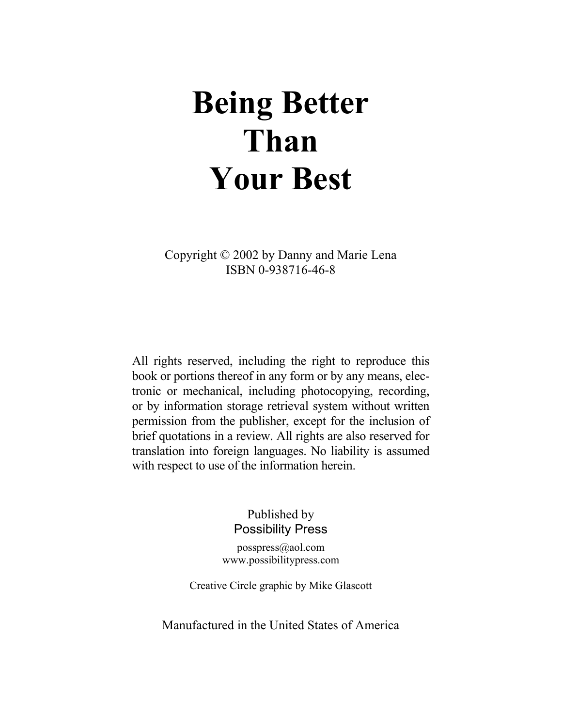# **Being Better Than Your Best**

Copyright © 2002 by Danny and Marie Lena ISBN 0-938716-46-8

All rights reserved, including the right to reproduce this book or portions thereof in any form or by any means, electronic or mechanical, including photocopying, recording, or by information storage retrieval system without written permission from the publisher, except for the inclusion of brief quotations in a review. All rights are also reserved for translation into foreign languages. No liability is assumed with respect to use of the information herein.

> Published by Possibility Press

posspress@aol.com www.possibilitypress.com

Creative Circle graphic by Mike Glascott

Manufactured in the United States of America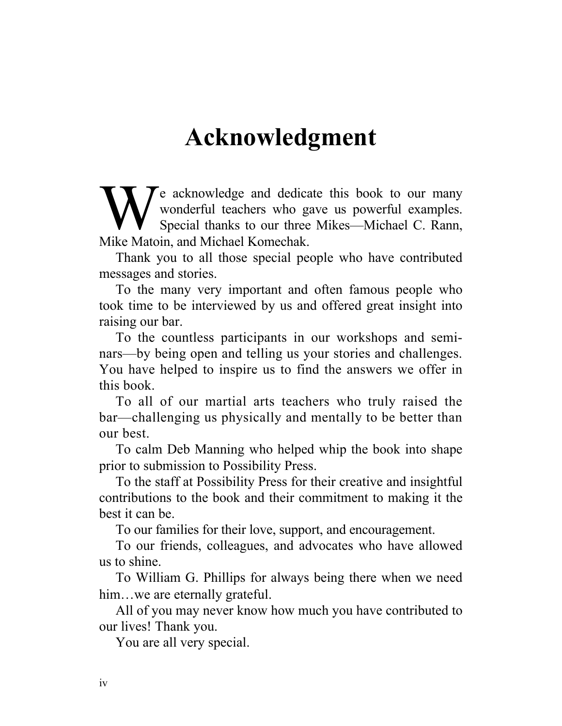#### **Acknowledgment**

e acknowledge and dedicate this book to our many wonderful teachers who gave us powerful examples. Special thanks to our three Mikes—Michael C. Rann, We acknowledge and dedica<br>
wonderful teachers who ga<br>
Special thanks to our three<br>
Mike Matoin, and Michael Komechak.

Thank you to all those special people who have contributed messages and stories.

To the many very important and often famous people who took time to be interviewed by us and offered great insight into raising our bar.

To the countless participants in our workshops and seminars—by being open and telling us your stories and challenges. You have helped to inspire us to find the answers we offer in this book.

To all of our martial arts teachers who truly raised the bar—challenging us physically and mentally to be better than our best.

To calm Deb Manning who helped whip the book into shape prior to submission to Possibility Press.

To the staff at Possibility Press for their creative and insightful contributions to the book and their commitment to making it the best it can be.

To our families for their love, support, and encouragement.

To our friends, colleagues, and advocates who have allowed us to shine.

To William G. Phillips for always being there when we need him...we are eternally grateful.

All of you may never know how much you have contributed to our lives! Thank you.

You are all very special.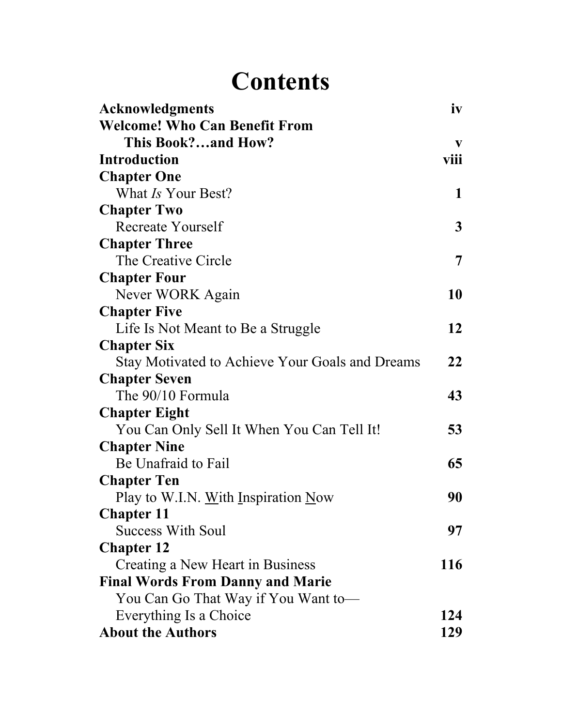## **Contents**

| <b>Acknowledgments</b>                          | iv          |
|-------------------------------------------------|-------------|
| <b>Welcome! Who Can Benefit From</b>            |             |
| This Book?and How?                              | V           |
| <b>Introduction</b>                             | viii        |
| <b>Chapter One</b>                              |             |
| What Is Your Best?                              | $\mathbf 1$ |
| <b>Chapter Two</b>                              |             |
| <b>Recreate Yourself</b>                        | 3           |
| <b>Chapter Three</b>                            |             |
| The Creative Circle                             | 7           |
| <b>Chapter Four</b>                             |             |
| Never WORK Again                                | 10          |
| <b>Chapter Five</b>                             |             |
| Life Is Not Meant to Be a Struggle              | 12          |
| <b>Chapter Six</b>                              |             |
| Stay Motivated to Achieve Your Goals and Dreams | 22          |
| <b>Chapter Seven</b>                            |             |
| The 90/10 Formula                               | 43          |
| <b>Chapter Eight</b>                            |             |
| You Can Only Sell It When You Can Tell It!      | 53          |
| <b>Chapter Nine</b>                             |             |
| Be Unafraid to Fail                             | 65          |
| <b>Chapter Ten</b>                              |             |
| Play to W.I.N. With Inspiration Now             | 90          |
| <b>Chapter 11</b>                               |             |
| <b>Success With Soul</b>                        | 97          |
| <b>Chapter 12</b>                               |             |
| Creating a New Heart in Business                | 116         |
| <b>Final Words From Danny and Marie</b>         |             |
| You Can Go That Way if You Want to-             |             |
| Everything Is a Choice                          | 124         |
| <b>About the Authors</b>                        | 129         |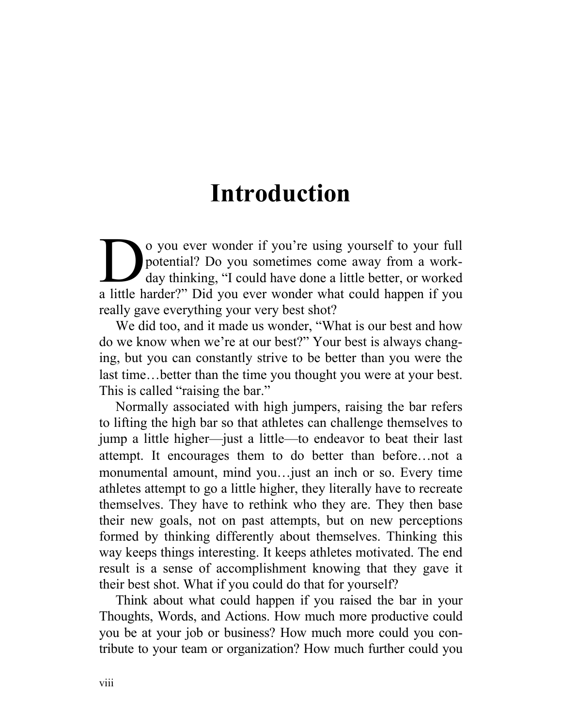### **Introduction**

o you ever wonder if you're using yourself to your full potential? Do you sometimes come away from a workday thinking, "I could have done a little better, or worked o you ever wonder if you're using yourself to your full potential? Do you sometimes come away from a work-<br>day thinking, "I could have done a little better, or worked<br>a little harder?" Did you ever wonder what could happen really gave everything your very best shot?

We did too, and it made us wonder, "What is our best and how do we know when we're at our best?" Your best is always changing, but you can constantly strive to be better than you were the last time…better than the time you thought you were at your best. This is called "raising the bar."

Normally associated with high jumpers, raising the bar refers to lifting the high bar so that athletes can challenge themselves to jump a little higher—just a little—to endeavor to beat their last attempt. It encourages them to do better than before…not a monumental amount, mind you…just an inch or so. Every time athletes attempt to go a little higher, they literally have to recreate themselves. They have to rethink who they are. They then base their new goals, not on past attempts, but on new perceptions formed by thinking differently about themselves. Thinking this way keeps things interesting. It keeps athletes motivated. The end result is a sense of accomplishment knowing that they gave it their best shot. What if you could do that for yourself?

Think about what could happen if you raised the bar in your Thoughts, Words, and Actions. How much more productive could you be at your job or business? How much more could you contribute to your team or organization? How much further could you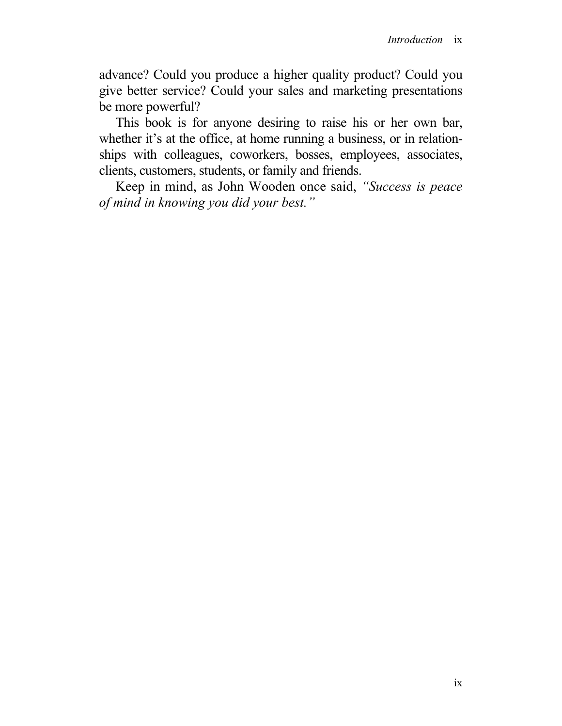advance? Could you produce a higher quality product? Could you give better service? Could your sales and marketing presentations be more powerful?

This book is for anyone desiring to raise his or her own bar, whether it's at the office, at home running a business, or in relationships with colleagues, coworkers, bosses, employees, associates, clients, customers, students, or family and friends.

Keep in mind, as John Wooden once said, *"Success is peace of mind in knowing you did your best."*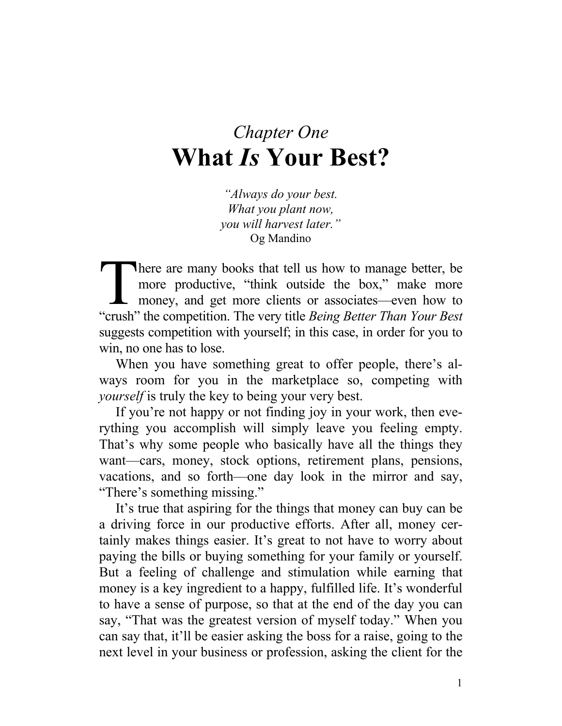#### *Chapter One*  **What** *Is* **Your Best?**

*"Always do your best. What you plant now, you will harvest later."* Og Mandino

There are many books that tell us how to manage better, be more productive, "think outside the box," make more money, and get more clients or associates—even how to There are many books that tell us how to manage better, be more productive, "think outside the box," make more money, and get more clients or associates—even how to "crush" the competition. The very title *Being Better Tha* suggests competition with yourself; in this case, in order for you to win, no one has to lose.

When you have something great to offer people, there's always room for you in the marketplace so, competing with *yourself* is truly the key to being your very best.

If you're not happy or not finding joy in your work, then everything you accomplish will simply leave you feeling empty. That's why some people who basically have all the things they want—cars, money, stock options, retirement plans, pensions, vacations, and so forth—one day look in the mirror and say, "There's something missing."

It's true that aspiring for the things that money can buy can be a driving force in our productive efforts. After all, money certainly makes things easier. It's great to not have to worry about paying the bills or buying something for your family or yourself. But a feeling of challenge and stimulation while earning that money is a key ingredient to a happy, fulfilled life. It's wonderful to have a sense of purpose, so that at the end of the day you can say, "That was the greatest version of myself today." When you can say that, it'll be easier asking the boss for a raise, going to the next level in your business or profession, asking the client for the